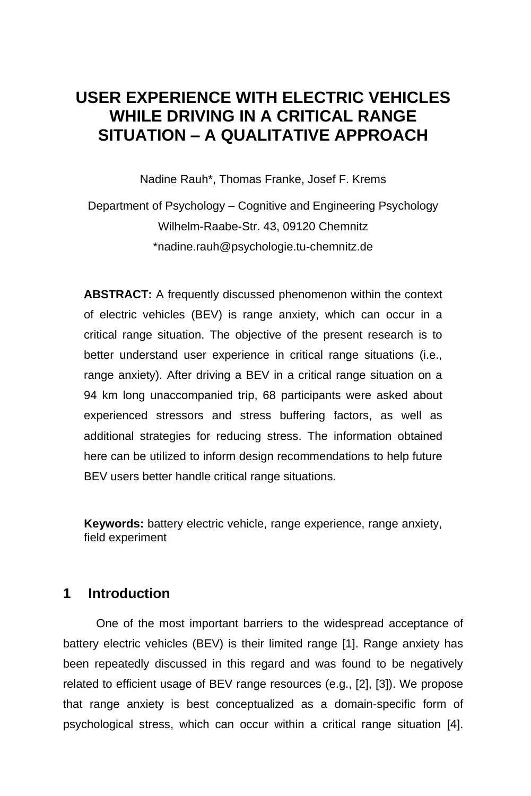# **USER EXPERIENCE WITH ELECTRIC VEHICLES WHILE DRIVING IN A CRITICAL RANGE SITUATION – A QUALITATIVE APPROACH**

Nadine Rauh\*, Thomas Franke, Josef F. Krems

Department of Psychology – Cognitive and Engineering Psychology Wilhelm-Raabe-Str. 43, 09120 Chemnitz \*nadine.rauh@psychologie.tu-chemnitz.de

**ABSTRACT:** A frequently discussed phenomenon within the context of electric vehicles (BEV) is range anxiety, which can occur in a critical range situation. The objective of the present research is to better understand user experience in critical range situations (i.e., range anxiety). After driving a BEV in a critical range situation on a 94 km long unaccompanied trip, 68 participants were asked about experienced stressors and stress buffering factors, as well as additional strategies for reducing stress. The information obtained here can be utilized to inform design recommendations to help future BEV users better handle critical range situations.

**Keywords:** battery electric vehicle, range experience, range anxiety, field experiment

#### **1 Introduction**

One of the most important barriers to the widespread acceptance of battery electric vehicles (BEV) is their limited range [1]. Range anxiety has been repeatedly discussed in this regard and was found to be negatively related to efficient usage of BEV range resources (e.g., [2], [3]). We propose that range anxiety is best conceptualized as a domain-specific form of psychological stress, which can occur within a critical range situation [4].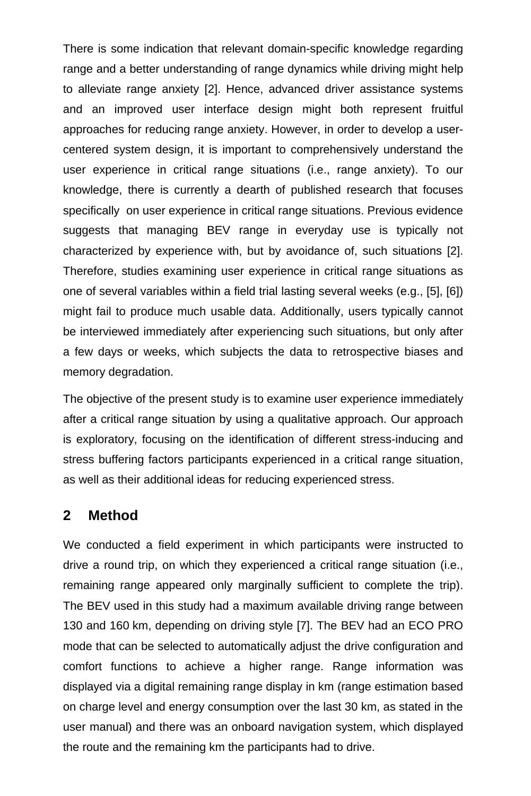There is some indication that relevant domain-specific knowledge regarding range and a better understanding of range dynamics while driving might help to alleviate range anxiety [2]. Hence, advanced driver assistance systems and an improved user interface design might both represent fruitful approaches for reducing range anxiety. However, in order to develop a usercentered system design, it is important to comprehensively understand the user experience in critical range situations (i.e., range anxiety). To our knowledge, there is currently a dearth of published research that focuses specifically on user experience in critical range situations. Previous evidence suggests that managing BEV range in everyday use is typically not characterized by experience with, but by avoidance of, such situations [2]. Therefore, studies examining user experience in critical range situations as one of several variables within a field trial lasting several weeks (e.g., [5], [6]) might fail to produce much usable data. Additionally, users typically cannot be interviewed immediately after experiencing such situations, but only after a few days or weeks, which subjects the data to retrospective biases and memory degradation.

The objective of the present study is to examine user experience immediately after a critical range situation by using a qualitative approach. Our approach is exploratory, focusing on the identification of different stress-inducing and stress buffering factors participants experienced in a critical range situation, as well as their additional ideas for reducing experienced stress.

#### **2 Method**

We conducted a field experiment in which participants were instructed to drive a round trip, on which they experienced a critical range situation (i.e., remaining range appeared only marginally sufficient to complete the trip). The BEV used in this study had a maximum available driving range between 130 and 160 km, depending on driving style [7]. The BEV had an ECO PRO mode that can be selected to automatically adjust the drive configuration and comfort functions to achieve a higher range. Range information was displayed via a digital remaining range display in km (range estimation based on charge level and energy consumption over the last 30 km, as stated in the user manual) and there was an onboard navigation system, which displayed the route and the remaining km the participants had to drive.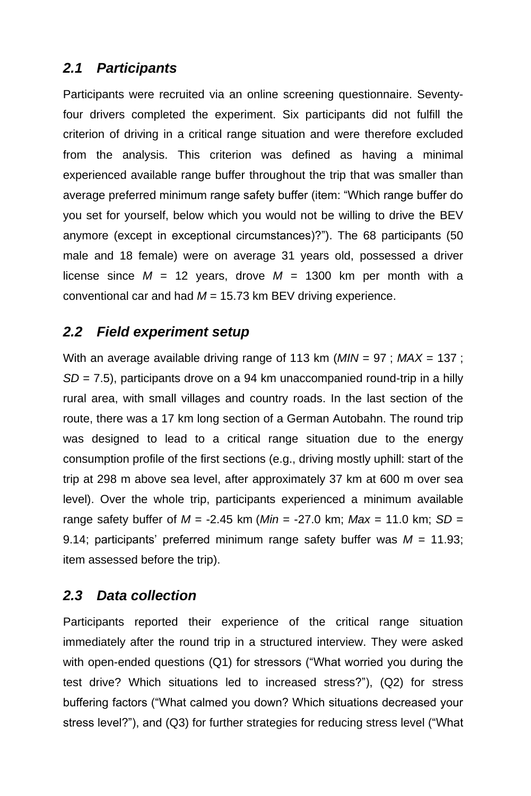## *2.1 Participants*

Participants were recruited via an online screening questionnaire. Seventyfour drivers completed the experiment. Six participants did not fulfill the criterion of driving in a critical range situation and were therefore excluded from the analysis. This criterion was defined as having a minimal experienced available range buffer throughout the trip that was smaller than average preferred minimum range safety buffer (item: "Which range buffer do you set for yourself, below which you would not be willing to drive the BEV anymore (except in exceptional circumstances)?"). The 68 participants (50 male and 18 female) were on average 31 years old, possessed a driver license since  $M = 12$  years, drove  $M = 1300$  km per month with a conventional car and had *M* = 15.73 km BEV driving experience.

#### *2.2 Field experiment setup*

With an average available driving range of 113 km (*MIN* = 97 ; *MAX* = 137 ; *SD* = 7.5), participants drove on a 94 km unaccompanied round-trip in a hilly rural area, with small villages and country roads. In the last section of the route, there was a 17 km long section of a German Autobahn. The round trip was designed to lead to a critical range situation due to the energy consumption profile of the first sections (e.g., driving mostly uphill: start of the trip at 298 m above sea level, after approximately 37 km at 600 m over sea level). Over the whole trip, participants experienced a minimum available range safety buffer of *M* = -2.45 km (*Min* = -27.0 km; *Max* = 11.0 km; *SD* = 9.14; participants' preferred minimum range safety buffer was *M* = 11.93; item assessed before the trip).

## *2.3 Data collection*

Participants reported their experience of the critical range situation immediately after the round trip in a structured interview. They were asked with open-ended questions (Q1) for stressors ("What worried you during the test drive? Which situations led to increased stress?"), (Q2) for stress buffering factors ("What calmed you down? Which situations decreased your stress level?"), and (Q3) for further strategies for reducing stress level ("What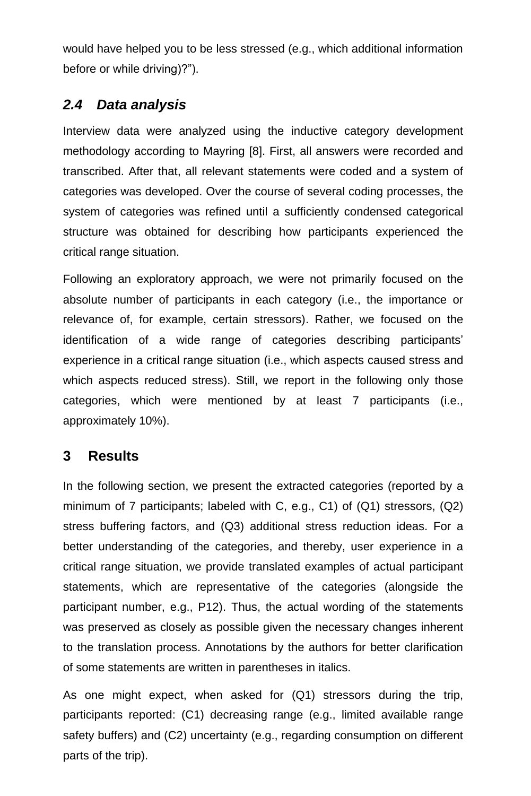would have helped you to be less stressed (e.g., which additional information before or while driving)?").

# *2.4 Data analysis*

Interview data were analyzed using the inductive category development methodology according to Mayring [8]. First, all answers were recorded and transcribed. After that, all relevant statements were coded and a system of categories was developed. Over the course of several coding processes, the system of categories was refined until a sufficiently condensed categorical structure was obtained for describing how participants experienced the critical range situation.

Following an exploratory approach, we were not primarily focused on the absolute number of participants in each category (i.e., the importance or relevance of, for example, certain stressors). Rather, we focused on the identification of a wide range of categories describing participants' experience in a critical range situation (i.e., which aspects caused stress and which aspects reduced stress). Still, we report in the following only those categories, which were mentioned by at least 7 participants (i.e., approximately 10%).

## **3 Results**

In the following section, we present the extracted categories (reported by a minimum of 7 participants; labeled with C, e.g., C1) of (Q1) stressors, (Q2) stress buffering factors, and (Q3) additional stress reduction ideas. For a better understanding of the categories, and thereby, user experience in a critical range situation, we provide translated examples of actual participant statements, which are representative of the categories (alongside the participant number, e.g., P12). Thus, the actual wording of the statements was preserved as closely as possible given the necessary changes inherent to the translation process. Annotations by the authors for better clarification of some statements are written in parentheses in italics.

As one might expect, when asked for (Q1) stressors during the trip, participants reported: (C1) decreasing range (e.g., limited available range safety buffers) and (C2) uncertainty (e.g., regarding consumption on different parts of the trip).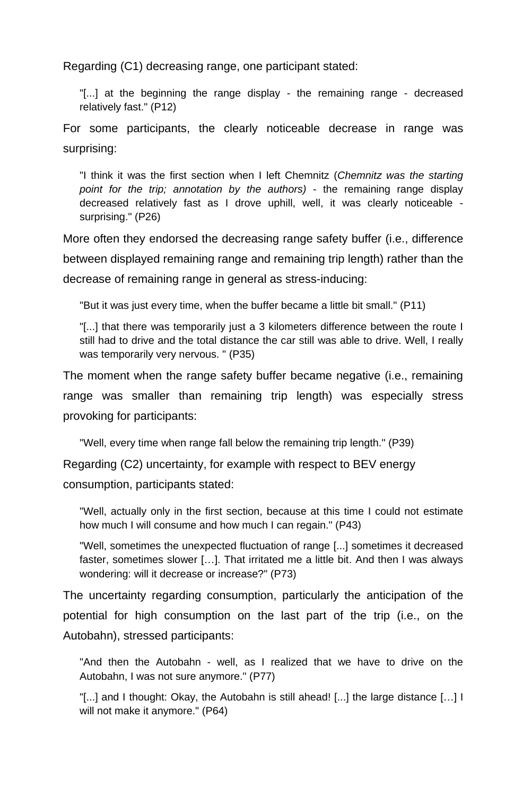Regarding (C1) decreasing range, one participant stated:

"[...] at the beginning the range display - the remaining range - decreased relatively fast." (P12)

For some participants, the clearly noticeable decrease in range was surprising:

"I think it was the first section when I left Chemnitz (*Chemnitz was the starting point for the trip; annotation by the authors)* - the remaining range display decreased relatively fast as I drove uphill, well, it was clearly noticeable surprising." (P26)

More often they endorsed the decreasing range safety buffer (i.e., difference between displayed remaining range and remaining trip length) rather than the decrease of remaining range in general as stress-inducing:

"But it was just every time, when the buffer became a little bit small." (P11)

"[...] that there was temporarily just a 3 kilometers difference between the route I still had to drive and the total distance the car still was able to drive. Well, I really was temporarily very nervous. " (P35)

The moment when the range safety buffer became negative (i.e., remaining range was smaller than remaining trip length) was especially stress provoking for participants:

"Well, every time when range fall below the remaining trip length." (P39)

Regarding (C2) uncertainty, for example with respect to BEV energy

consumption, participants stated:

"Well, actually only in the first section, because at this time I could not estimate how much I will consume and how much I can regain." (P43)

"Well, sometimes the unexpected fluctuation of range [...] sometimes it decreased faster, sometimes slower […]. That irritated me a little bit. And then I was always wondering: will it decrease or increase?" (P73)

The uncertainty regarding consumption, particularly the anticipation of the potential for high consumption on the last part of the trip (i.e., on the Autobahn), stressed participants:

"And then the Autobahn - well, as I realized that we have to drive on the Autobahn, I was not sure anymore." (P77)

"[...] and I thought: Okay, the Autobahn is still ahead! [...] the large distance […] I will not make it anymore." (P64)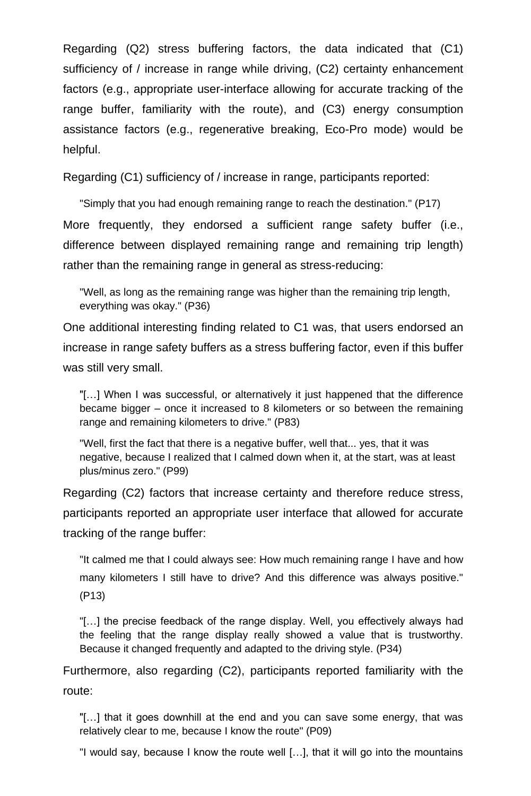Regarding (Q2) stress buffering factors, the data indicated that (C1) sufficiency of / increase in range while driving, (C2) certainty enhancement factors (e.g., appropriate user-interface allowing for accurate tracking of the range buffer, familiarity with the route), and (C3) energy consumption assistance factors (e.g., regenerative breaking, Eco-Pro mode) would be helpful.

Regarding (C1) sufficiency of / increase in range, participants reported:

"Simply that you had enough remaining range to reach the destination." (P17) More frequently, they endorsed a sufficient range safety buffer (i.e., difference between displayed remaining range and remaining trip length) rather than the remaining range in general as stress-reducing:

"Well, as long as the remaining range was higher than the remaining trip length, everything was okay." (P36)

One additional interesting finding related to C1 was, that users endorsed an increase in range safety buffers as a stress buffering factor, even if this buffer was still very small.

"[…] When I was successful, or alternatively it just happened that the difference became bigger – once it increased to 8 kilometers or so between the remaining range and remaining kilometers to drive." (P83)

"Well, first the fact that there is a negative buffer, well that... yes, that it was negative, because I realized that I calmed down when it, at the start, was at least plus/minus zero." (P99)

Regarding (C2) factors that increase certainty and therefore reduce stress, participants reported an appropriate user interface that allowed for accurate tracking of the range buffer:

"It calmed me that I could always see: How much remaining range I have and how many kilometers I still have to drive? And this difference was always positive." (P13)

"[…] the precise feedback of the range display. Well, you effectively always had the feeling that the range display really showed a value that is trustworthy. Because it changed frequently and adapted to the driving style. (P34)

Furthermore, also regarding (C2), participants reported familiarity with the route:

"[…] that it goes downhill at the end and you can save some energy, that was relatively clear to me, because I know the route" (P09)

"I would say, because I know the route well […], that it will go into the mountains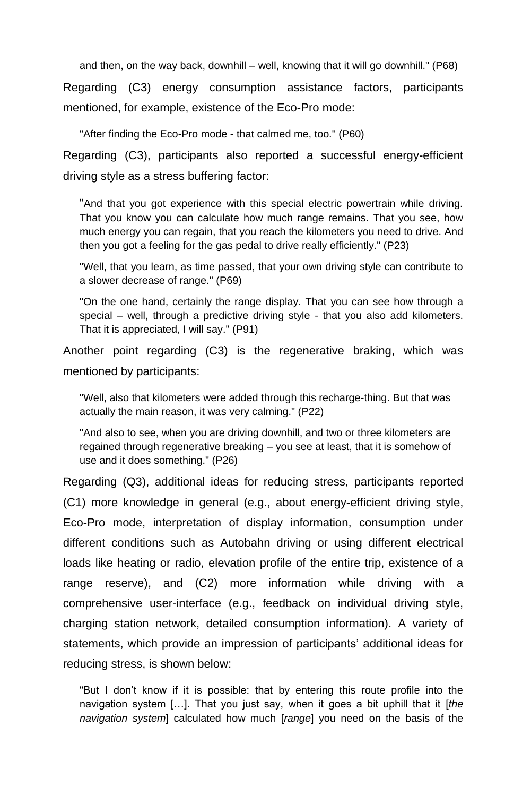and then, on the way back, downhill – well, knowing that it will go downhill." (P68)

Regarding (C3) energy consumption assistance factors, participants mentioned, for example, existence of the Eco-Pro mode:

"After finding the Eco-Pro mode - that calmed me, too." (P60)

Regarding (C3), participants also reported a successful energy-efficient driving style as a stress buffering factor:

"And that you got experience with this special electric powertrain while driving. That you know you can calculate how much range remains. That you see, how much energy you can regain, that you reach the kilometers you need to drive. And then you got a feeling for the gas pedal to drive really efficiently." (P23)

"Well, that you learn, as time passed, that your own driving style can contribute to a slower decrease of range." (P69)

"On the one hand, certainly the range display. That you can see how through a special – well, through a predictive driving style - that you also add kilometers. That it is appreciated, I will say." (P91)

Another point regarding (C3) is the regenerative braking, which was mentioned by participants:

"Well, also that kilometers were added through this recharge-thing. But that was actually the main reason, it was very calming." (P22)

"And also to see, when you are driving downhill, and two or three kilometers are regained through regenerative breaking – you see at least, that it is somehow of use and it does something." (P26)

Regarding (Q3), additional ideas for reducing stress, participants reported (C1) more knowledge in general (e.g., about energy-efficient driving style, Eco-Pro mode, interpretation of display information, consumption under different conditions such as Autobahn driving or using different electrical loads like heating or radio, elevation profile of the entire trip, existence of a range reserve), and (C2) more information while driving with a comprehensive user-interface (e.g., feedback on individual driving style, charging station network, detailed consumption information). A variety of statements, which provide an impression of participants' additional ideas for reducing stress, is shown below:

"But I don't know if it is possible: that by entering this route profile into the navigation system […]. That you just say, when it goes a bit uphill that it [*the navigation system*] calculated how much [*range*] you need on the basis of the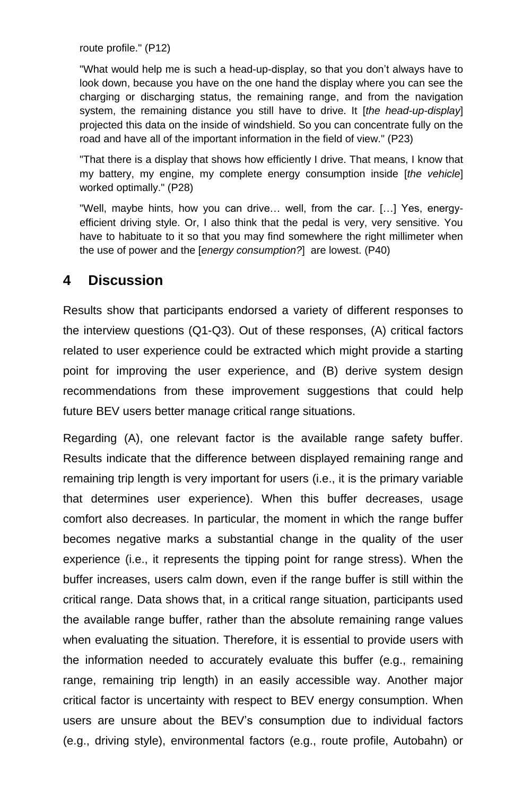route profile." (P12)

"What would help me is such a head-up-display, so that you don't always have to look down, because you have on the one hand the display where you can see the charging or discharging status, the remaining range, and from the navigation system, the remaining distance you still have to drive. It [*the head-up-display*] projected this data on the inside of windshield. So you can concentrate fully on the road and have all of the important information in the field of view." (P23)

"That there is a display that shows how efficiently I drive. That means, I know that my battery, my engine, my complete energy consumption inside [*the vehicle*] worked optimally." (P28)

"Well, maybe hints, how you can drive… well, from the car. […] Yes, energyefficient driving style. Or, I also think that the pedal is very, very sensitive. You have to habituate to it so that you may find somewhere the right millimeter when the use of power and the [*energy consumption?*] are lowest. (P40)

## **4 Discussion**

Results show that participants endorsed a variety of different responses to the interview questions (Q1-Q3). Out of these responses, (A) critical factors related to user experience could be extracted which might provide a starting point for improving the user experience, and (B) derive system design recommendations from these improvement suggestions that could help future BEV users better manage critical range situations.

Regarding (A), one relevant factor is the available range safety buffer. Results indicate that the difference between displayed remaining range and remaining trip length is very important for users (i.e., it is the primary variable that determines user experience). When this buffer decreases, usage comfort also decreases. In particular, the moment in which the range buffer becomes negative marks a substantial change in the quality of the user experience (i.e., it represents the tipping point for range stress). When the buffer increases, users calm down, even if the range buffer is still within the critical range. Data shows that, in a critical range situation, participants used the available range buffer, rather than the absolute remaining range values when evaluating the situation. Therefore, it is essential to provide users with the information needed to accurately evaluate this buffer (e.g., remaining range, remaining trip length) in an easily accessible way. Another major critical factor is uncertainty with respect to BEV energy consumption. When users are unsure about the BEV's consumption due to individual factors (e.g., driving style), environmental factors (e.g., route profile, Autobahn) or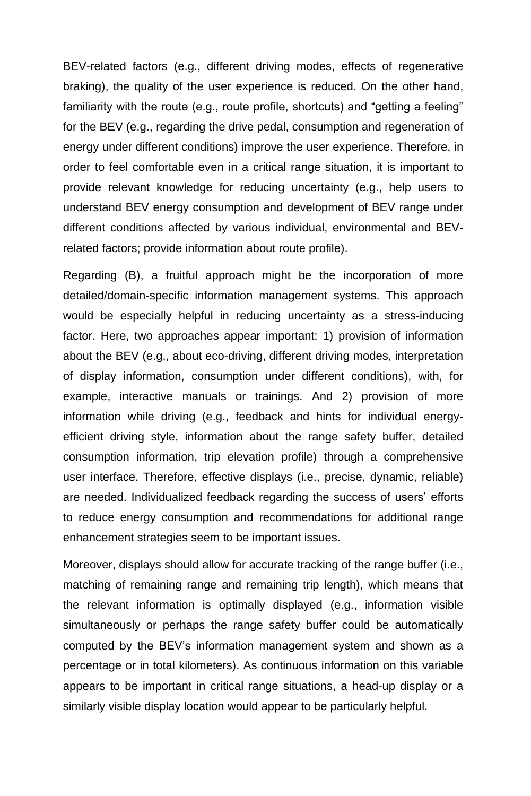BEV-related factors (e.g., different driving modes, effects of regenerative braking), the quality of the user experience is reduced. On the other hand, familiarity with the route (e.g., route profile, shortcuts) and "getting a feeling" for the BEV (e.g., regarding the drive pedal, consumption and regeneration of energy under different conditions) improve the user experience. Therefore, in order to feel comfortable even in a critical range situation, it is important to provide relevant knowledge for reducing uncertainty (e.g., help users to understand BEV energy consumption and development of BEV range under different conditions affected by various individual, environmental and BEVrelated factors; provide information about route profile).

Regarding (B), a fruitful approach might be the incorporation of more detailed/domain-specific information management systems. This approach would be especially helpful in reducing uncertainty as a stress-inducing factor. Here, two approaches appear important: 1) provision of information about the BEV (e.g., about eco-driving, different driving modes, interpretation of display information, consumption under different conditions), with, for example, interactive manuals or trainings. And 2) provision of more information while driving (e.g., feedback and hints for individual energyefficient driving style, information about the range safety buffer, detailed consumption information, trip elevation profile) through a comprehensive user interface. Therefore, effective displays (i.e., precise, dynamic, reliable) are needed. Individualized feedback regarding the success of users' efforts to reduce energy consumption and recommendations for additional range enhancement strategies seem to be important issues.

Moreover, displays should allow for accurate tracking of the range buffer (i.e., matching of remaining range and remaining trip length), which means that the relevant information is optimally displayed (e.g., information visible simultaneously or perhaps the range safety buffer could be automatically computed by the BEV's information management system and shown as a percentage or in total kilometers). As continuous information on this variable appears to be important in critical range situations, a head-up display or a similarly visible display location would appear to be particularly helpful.